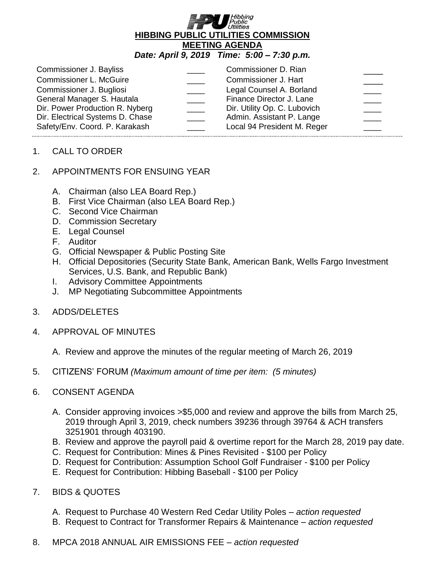

## *Date: April 9, 2019 Time: 5:00 – 7:30 p.m.*

| Commissioner J. Bayliss                                                                                                                                         | Commissioner D. Rian                                                                                                                             |  |
|-----------------------------------------------------------------------------------------------------------------------------------------------------------------|--------------------------------------------------------------------------------------------------------------------------------------------------|--|
| <b>Commissioner L. McGuire</b>                                                                                                                                  | Commissioner J. Hart                                                                                                                             |  |
| Commissioner J. Bugliosi<br>General Manager S. Hautala<br>Dir. Power Production R. Nyberg<br>Dir. Electrical Systems D. Chase<br>Safety/Env. Coord. P. Karakash | Legal Counsel A. Borland<br>Finance Director J. Lane<br>Dir. Utility Op. C. Lubovich<br>Admin. Assistant P. Lange<br>Local 94 President M. Reger |  |

## 1. CALL TO ORDER

## 2. APPOINTMENTS FOR ENSUING YEAR

- A. Chairman (also LEA Board Rep.)
- B. First Vice Chairman (also LEA Board Rep.)
- C. Second Vice Chairman
- D. Commission Secretary
- E. Legal Counsel
- F. Auditor
- G. Official Newspaper & Public Posting Site
- H. Official Depositories (Security State Bank, American Bank, Wells Fargo Investment Services, U.S. Bank, and Republic Bank)
- I. Advisory Committee Appointments
- J. MP Negotiating Subcommittee Appointments
- 3. ADDS/DELETES
- 4. APPROVAL OF MINUTES

A. Review and approve the minutes of the regular meeting of March 26, 2019

- 5. CITIZENS' FORUM *(Maximum amount of time per item: (5 minutes)*
- 6. CONSENT AGENDA
	- A. Consider approving invoices >\$5,000 and review and approve the bills from March 25, 2019 through April 3, 2019, check numbers 39236 through 39764 & ACH transfers 3251901 through 403190.
	- B. Review and approve the payroll paid & overtime report for the March 28, 2019 pay date.
	- C. Request for Contribution: Mines & Pines Revisited \$100 per Policy
	- D. Request for Contribution: Assumption School Golf Fundraiser \$100 per Policy
	- E. Request for Contribution: Hibbing Baseball \$100 per Policy
- 7. BIDS & QUOTES
	- A. Request to Purchase 40 Western Red Cedar Utility Poles *action requested*
	- B. Request to Contract for Transformer Repairs & Maintenance *action requested*
- 8. MPCA 2018 ANNUAL AIR EMISSIONS FEE *action requested*